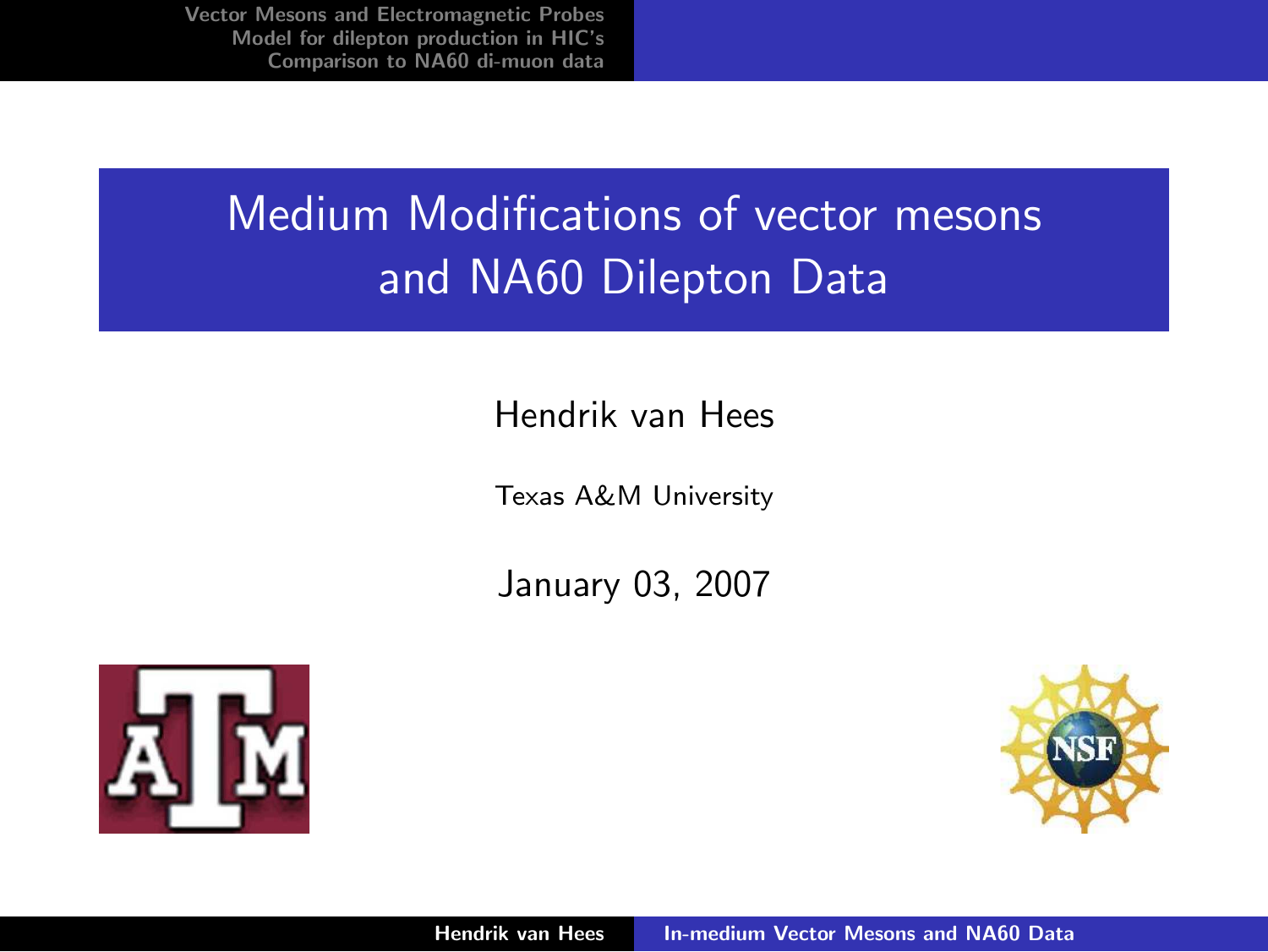# Medium Modifications of vector mesons and NA60 Dilepton Data

#### Hendrik van Hees

Texas A&M University

January 03, 2007



<span id="page-0-0"></span>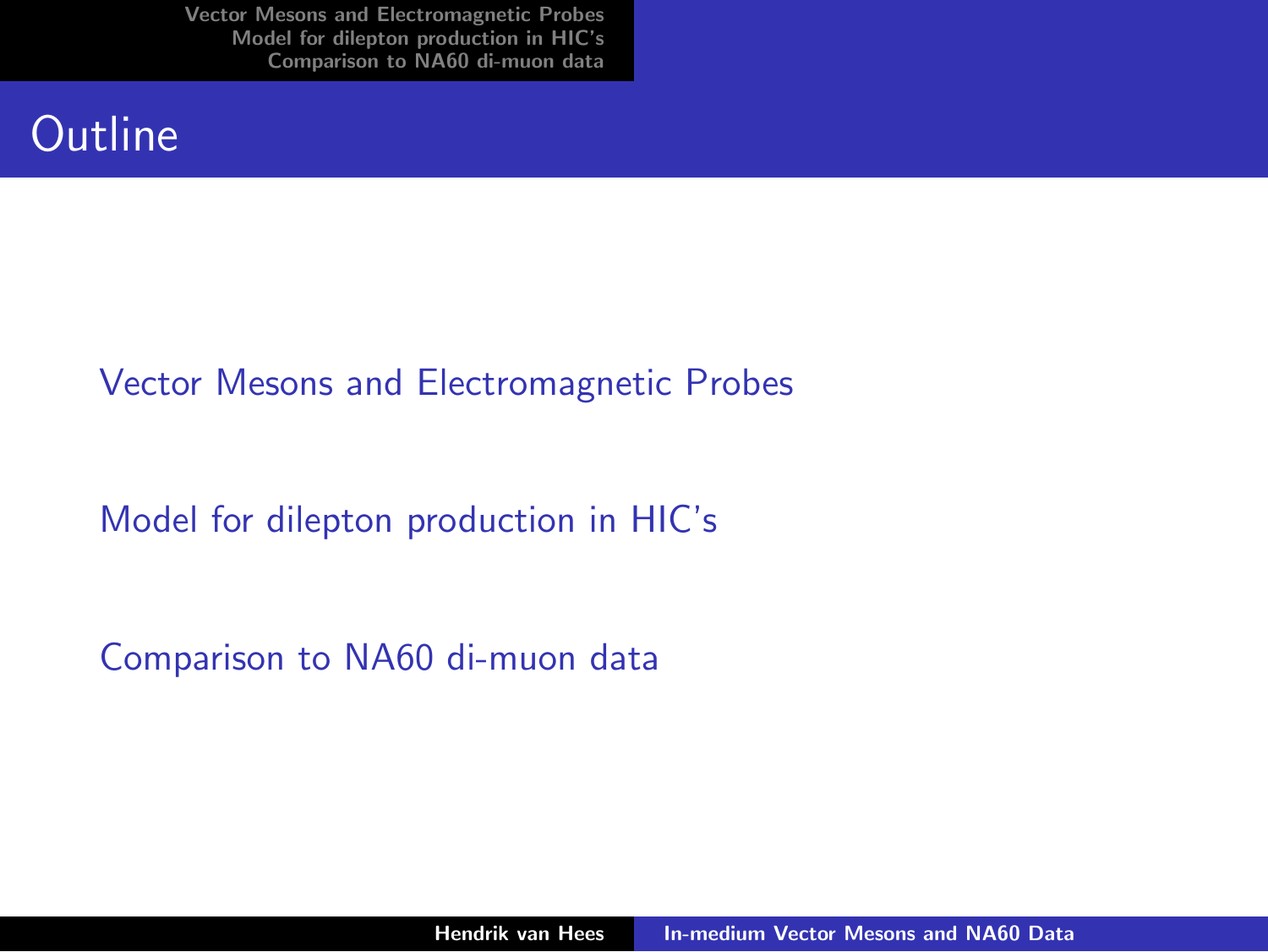#### **Qutline**

#### [Vector Mesons and Electromagnetic Probes](#page-2-0)

[Model for dilepton production in HIC's](#page-3-0)

[Comparison to NA60 di-muon data](#page-5-0)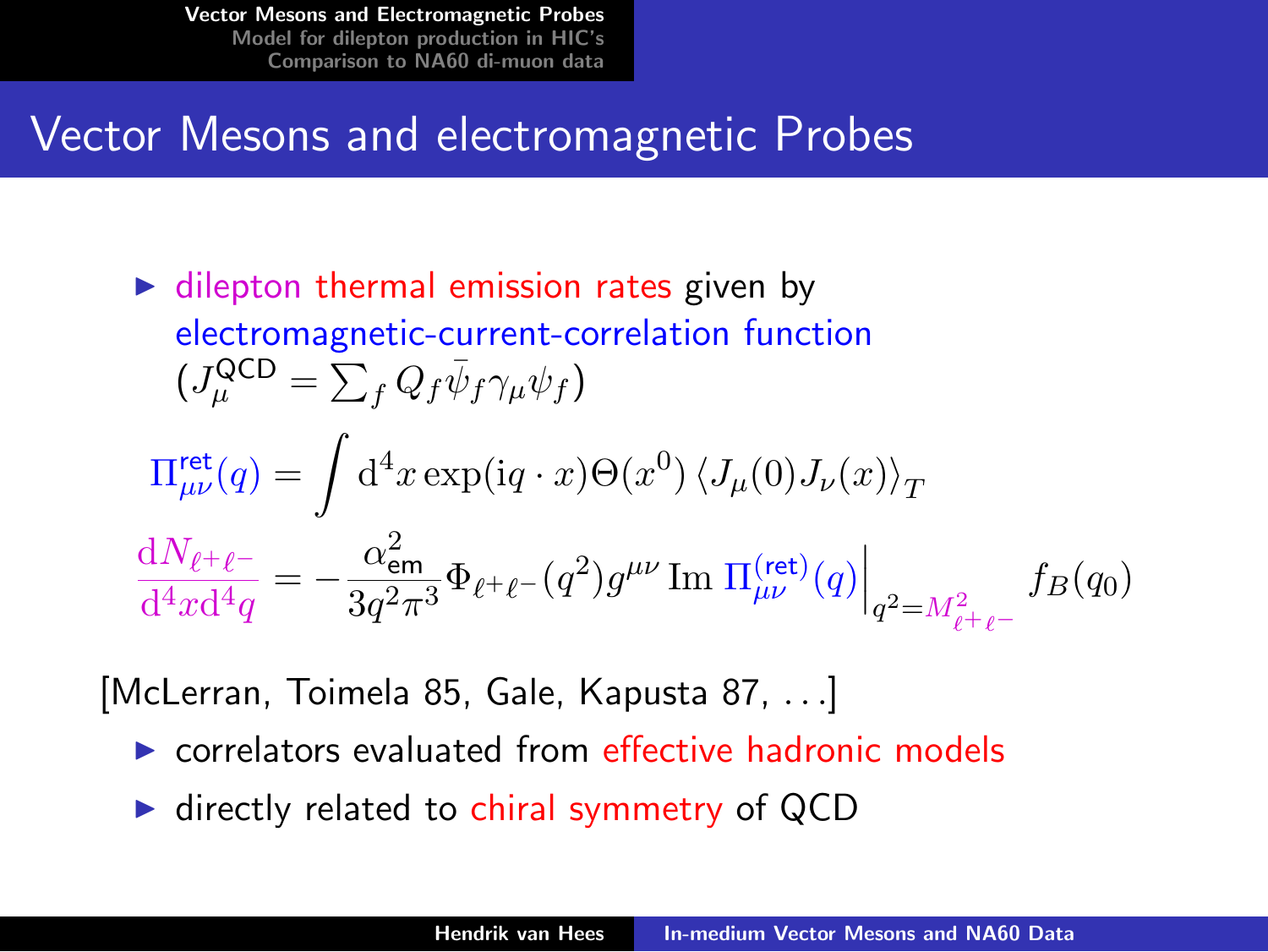#### Vector Mesons and electromagnetic Probes

 $\triangleright$  dilepton thermal emission rates given by electromagnetic-current-correlation function  $(J^{\sf QCD}_\mu = \sum_f Q_f \bar\psi_f \gamma_\mu \psi_f)$  $\Pi_{\mu\nu}^{\rm ret}(q) = \int {\rm d}^4 x \exp({\rm i} q \cdot x) \Theta(x^0) \left\langle J_\mu(0) J_\nu(x)\right\rangle_T$  $\mathrm{d}N_{\ell^+\ell^-}$  $\frac{\mathrm{d}N_{\ell^+\ell^-}}{\mathrm{d}^4x\mathrm{d}^4q}=-\frac{\alpha_\mathsf{em}^2}{3q^2\pi}$  $\left.\frac{\alpha_{\mathsf{em}}^2}{3 q^2 \pi^3} \Phi_{\ell^+\ell^-}(q^2) g^{\mu\nu} \, \mathrm{Im} \left.\Pi^{(\mathrm{ret})}_{\mu\nu}(q)\right|_{q^2=M_{\ell^+\ell^-}^2}$  $f_B(q_0)$ 

[McLerran, Toimela 85, Gale, Kapusta 87, . . .]

- $\triangleright$  correlators evaluated from effective hadronic models
- <span id="page-2-0"></span> $\blacktriangleright$  directly related to chiral symmetry of QCD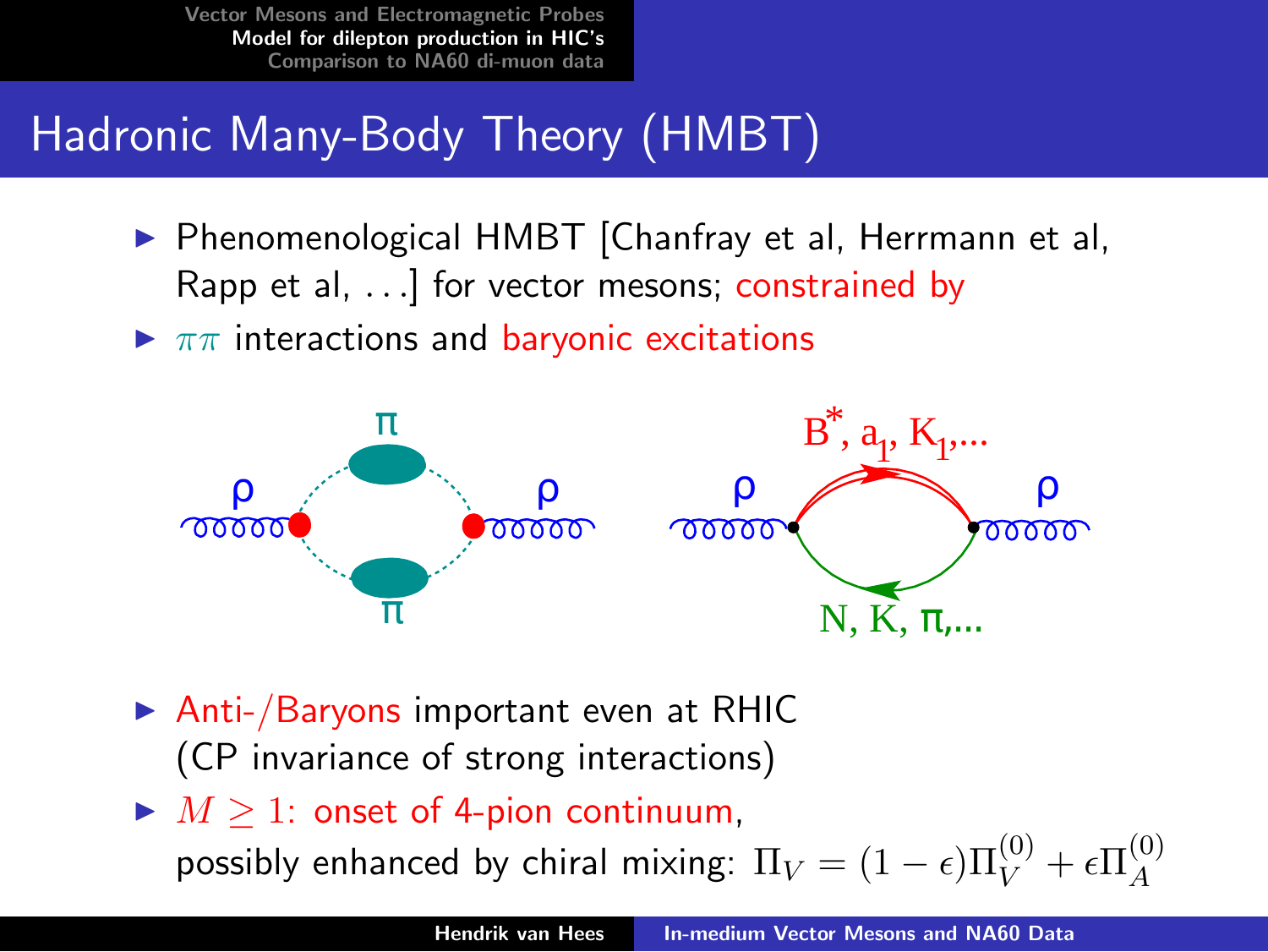# Hadronic Many-Body Theory (HMBT)

- ▶ Phenomenological HMBT [Chanfray et al, Herrmann et al, Rapp et al, . . .] for vector mesons; constrained by
- $\blacktriangleright \pi\pi$  interactions and baryonic excitations



- $\triangleright$  Anti-/Baryons important even at RHIC (CP invariance of strong interactions)
- $\blacktriangleright M \geq 1$ : onset of 4-pion continuum,

<span id="page-3-0"></span>possibly enhanced by chiral mixing:  $\Pi_V = (1-\epsilon) \Pi_V^{(0)} + \epsilon \Pi_A^{(0)}$ A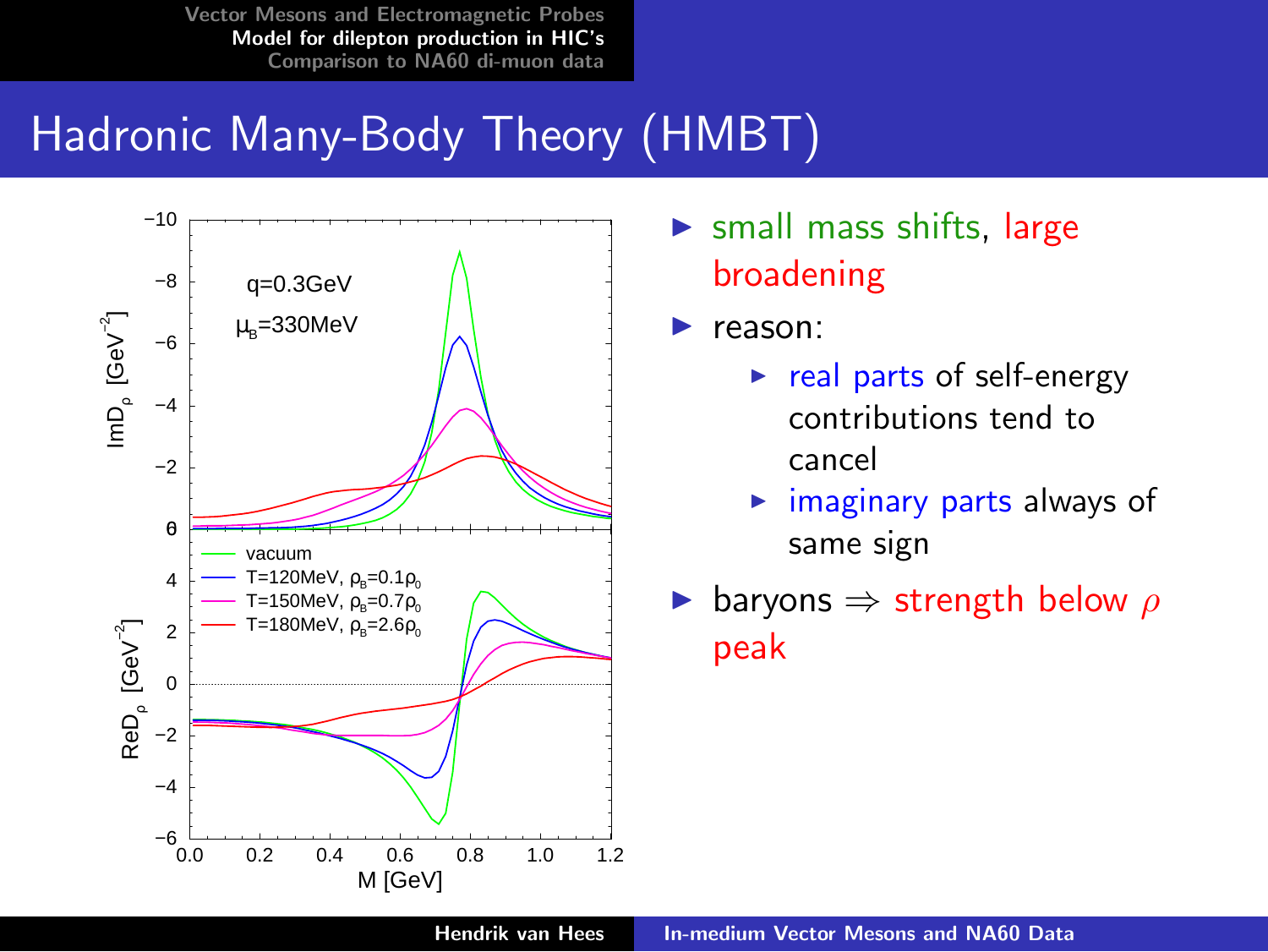# Hadronic Many-Body Theory (HMBT)



- $\triangleright$  small mass shifts, large broadening
- $\blacktriangleright$  reason:
	- $\triangleright$  real parts of self-energy contributions tend to cancel
	- $\triangleright$  imaginary parts always of same sign
- ► baryons  $\Rightarrow$  strength below  $\rho$ peak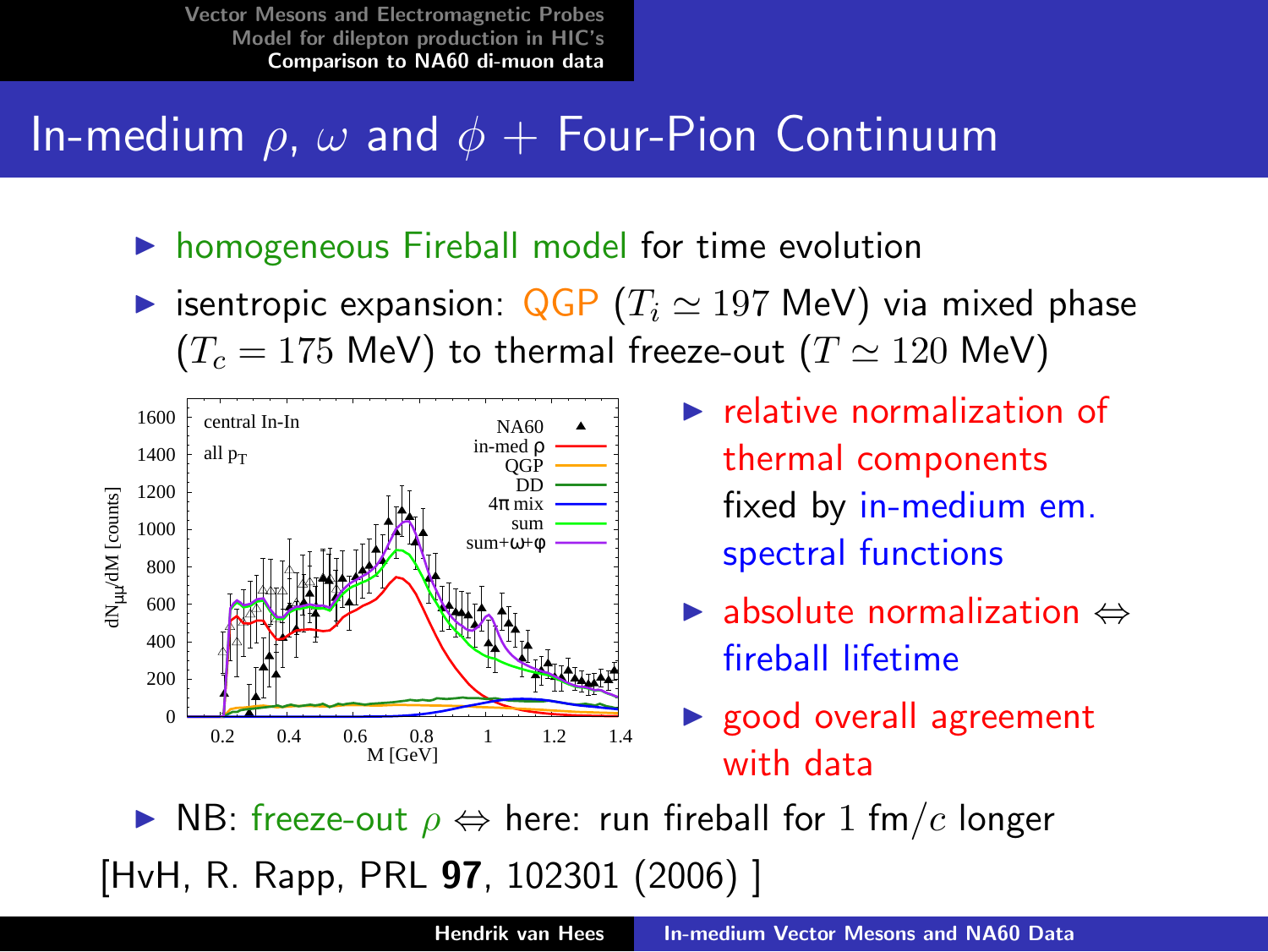## In-medium  $\rho$ ,  $\omega$  and  $\phi$  + Four-Pion Continuum

- $\triangleright$  homogeneous Fireball model for time evolution
- isentropic expansion:  $QGP (T_i \approx 197 \text{ MeV})$  via mixed phase  $(T_c = 175 \text{ MeV})$  to thermal freeze-out  $(T \simeq 120 \text{ MeV})$



- $\blacktriangleright$  relative normalization of thermal components fixed by in-medium em. spectral functions
- $\blacktriangleright$  absolute normalization  $\Leftrightarrow$ fireball lifetime
- <span id="page-5-0"></span> $\triangleright$  good overall agreement with data

 $\triangleright$  NB: freeze-out  $\rho \Leftrightarrow$  here: run fireball for 1 fm/c longer [HvH, R. Rapp, PRL 97, 102301 (2006) ]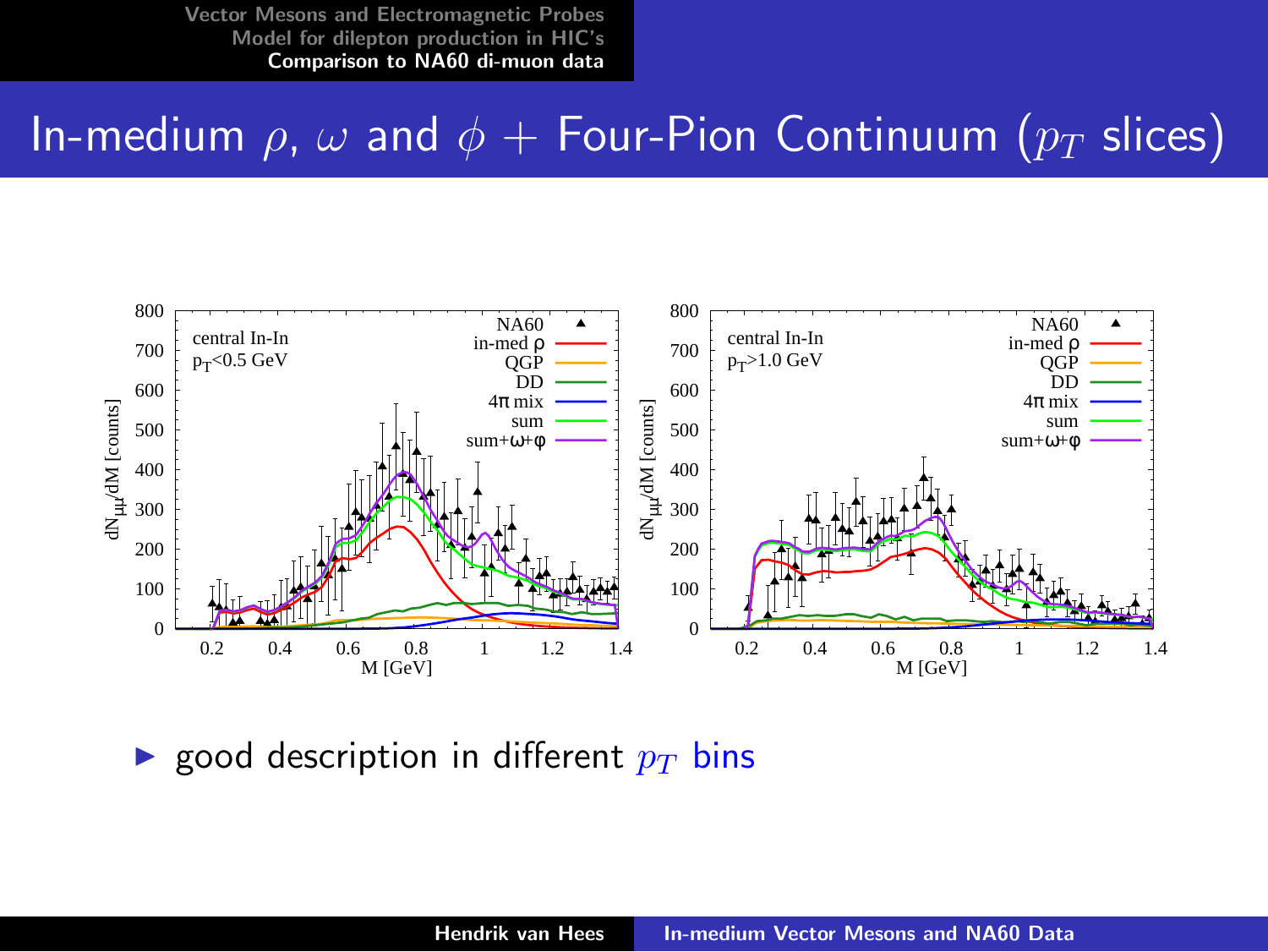#### In-medium  $\rho$ ,  $\omega$  and  $\phi$  + Four-Pion Continuum ( $p_T$  slices)



**Exercise** good description in different  $p_T$  bins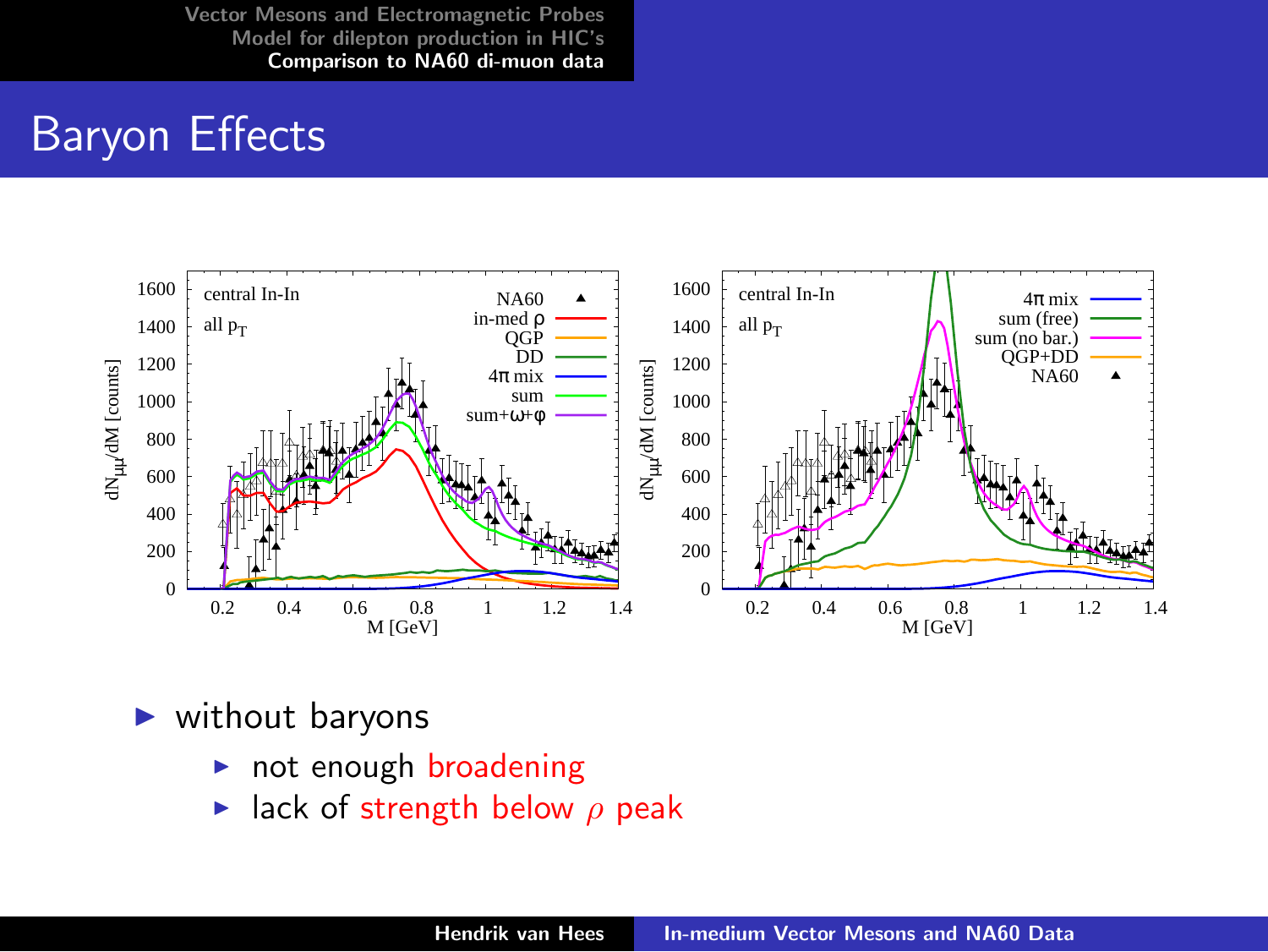### Baryon Effects



- $\blacktriangleright$  without baryons
	- $\triangleright$  not enough broadening
	- lack of strength below  $\rho$  peak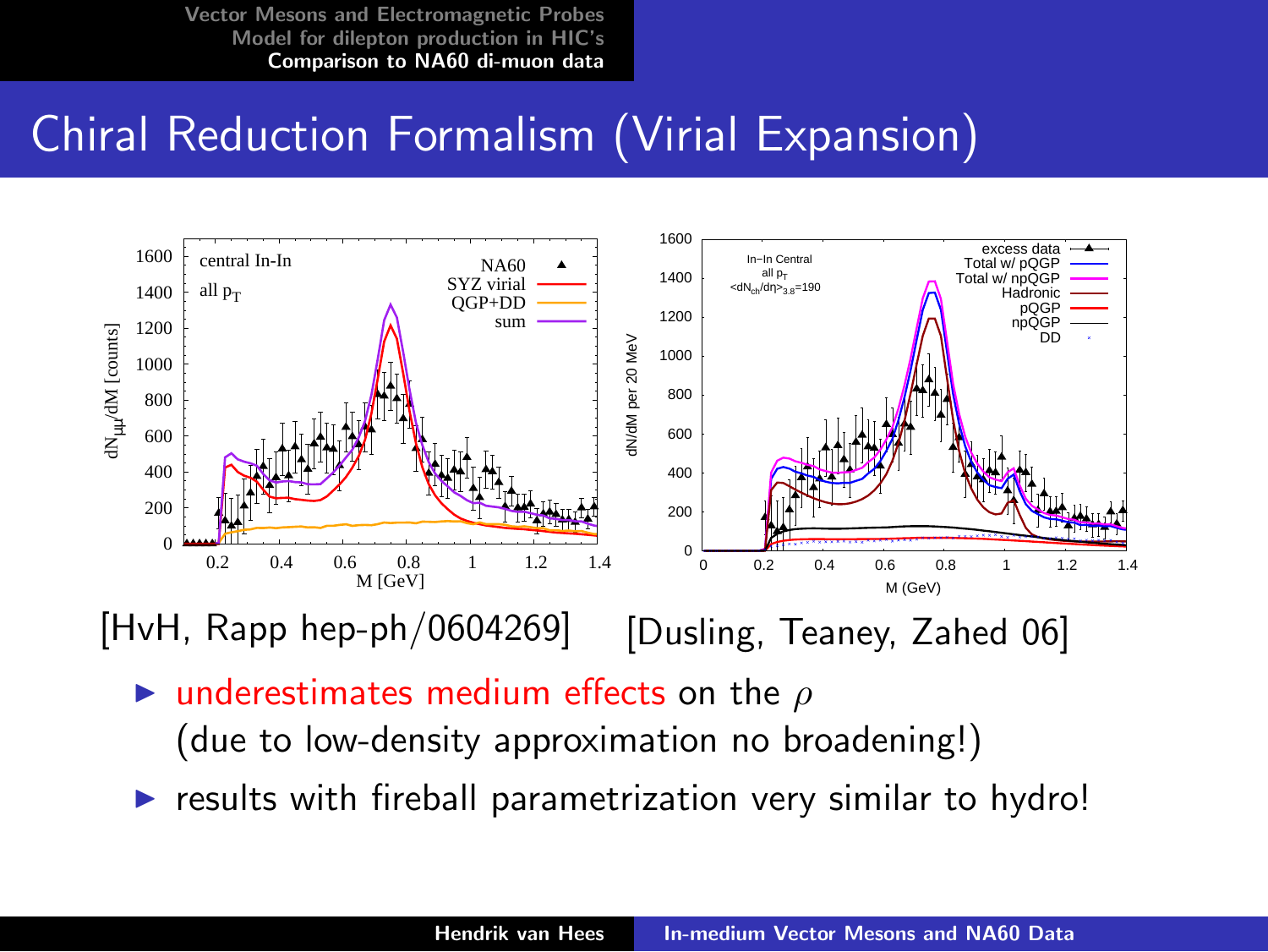# Chiral Reduction Formalism (Virial Expansion)



[HvH, Rapp hep-ph/0604269]

[Dusling, Teaney, Zahed 06]

underestimates medium effects on the  $\rho$ 

(due to low-density approximation no broadening!)

results with fireball parametrization very similar to hydro!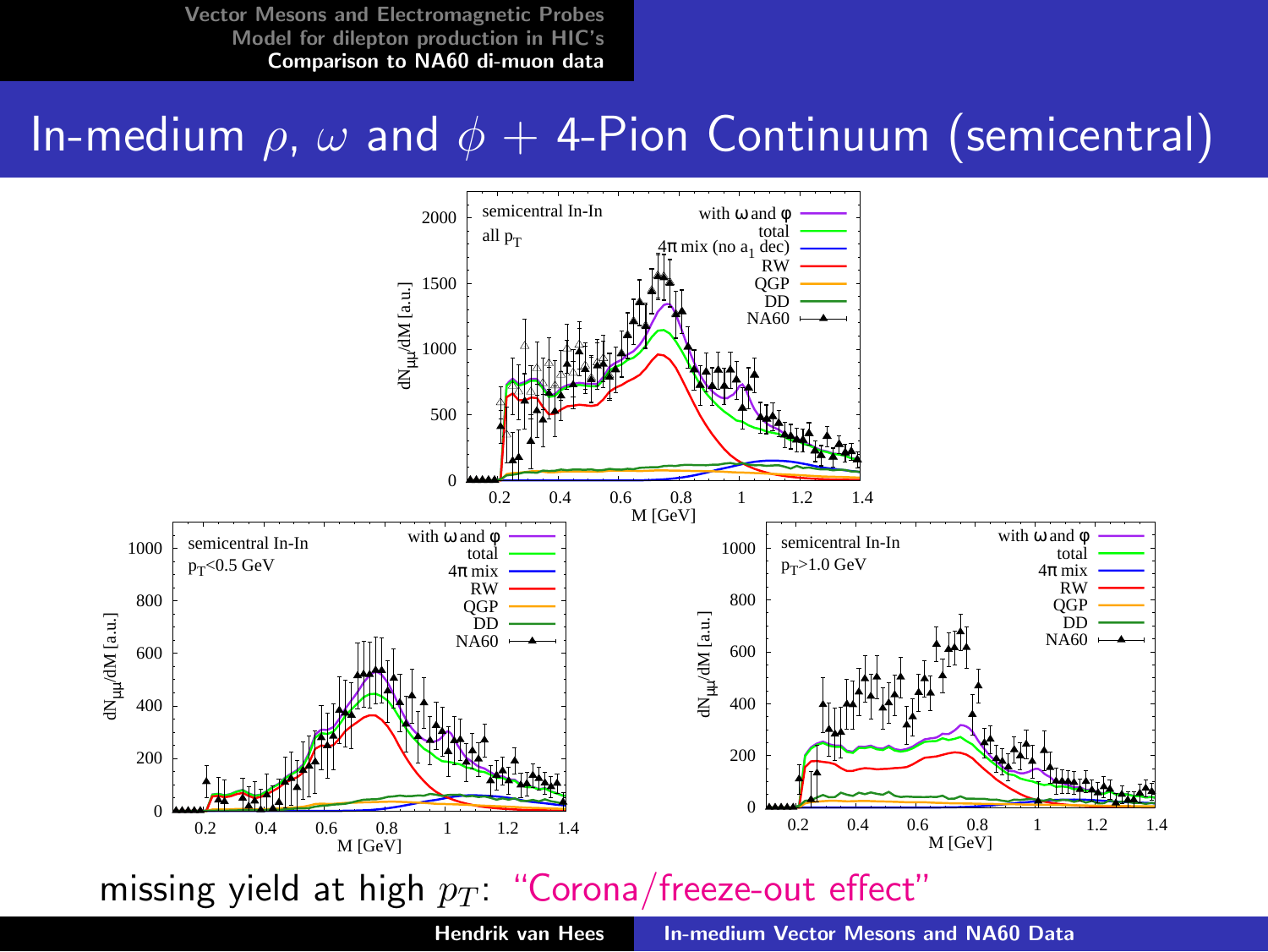### In-medium  $\rho$ ,  $\omega$  and  $\phi$  + 4-Pion Continuum (semicentral)

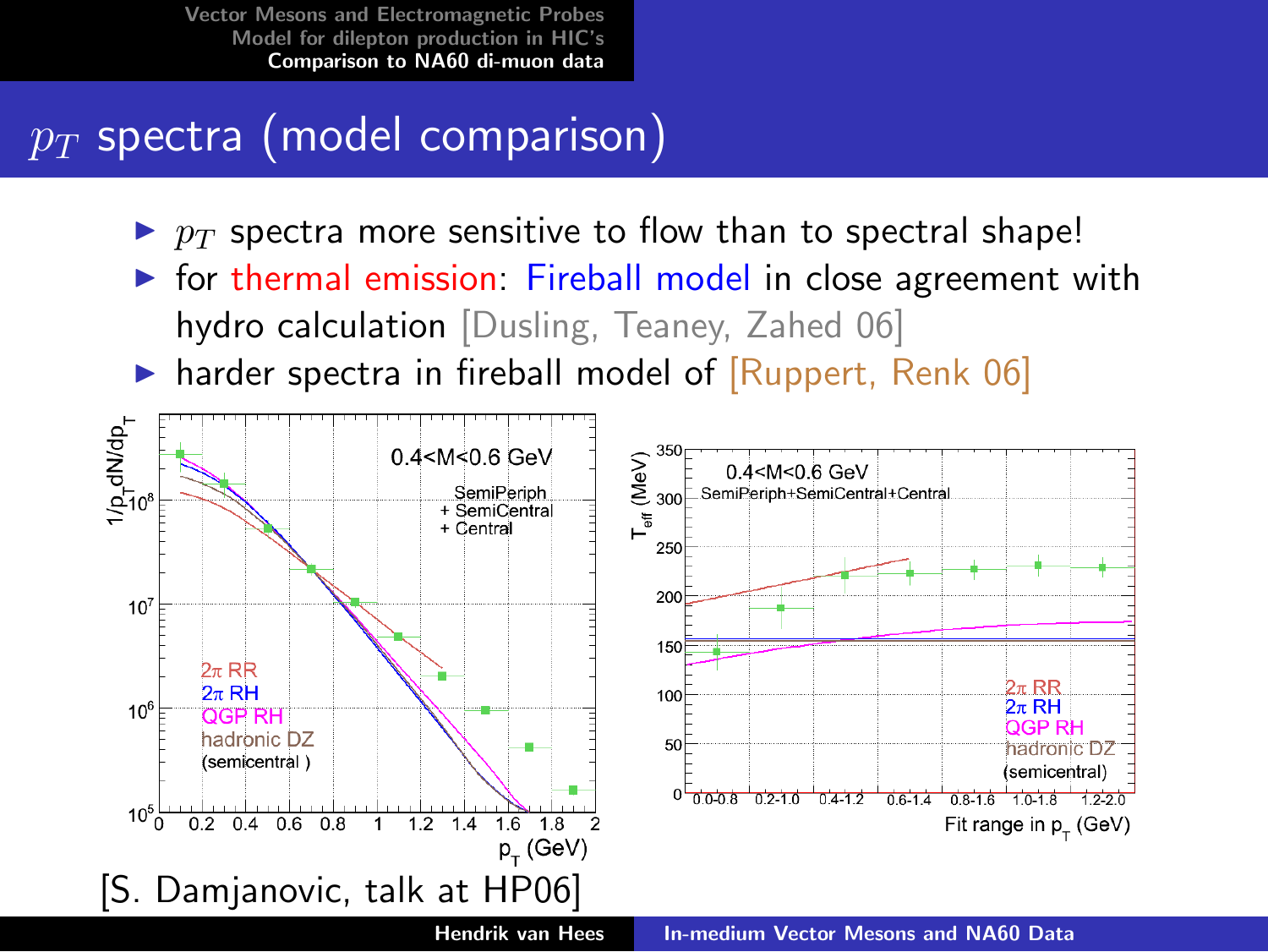# $p_T$  spectra (model comparison)

- $\blacktriangleright$   $p_T$  spectra more sensitive to flow than to spectral shape!
- $\triangleright$  for thermal emission: Fireball model in close agreement with hydro calculation [Dusling, Teaney, Zahed 06]
- harder spectra in fireball model of [Ruppert, Renk 06]

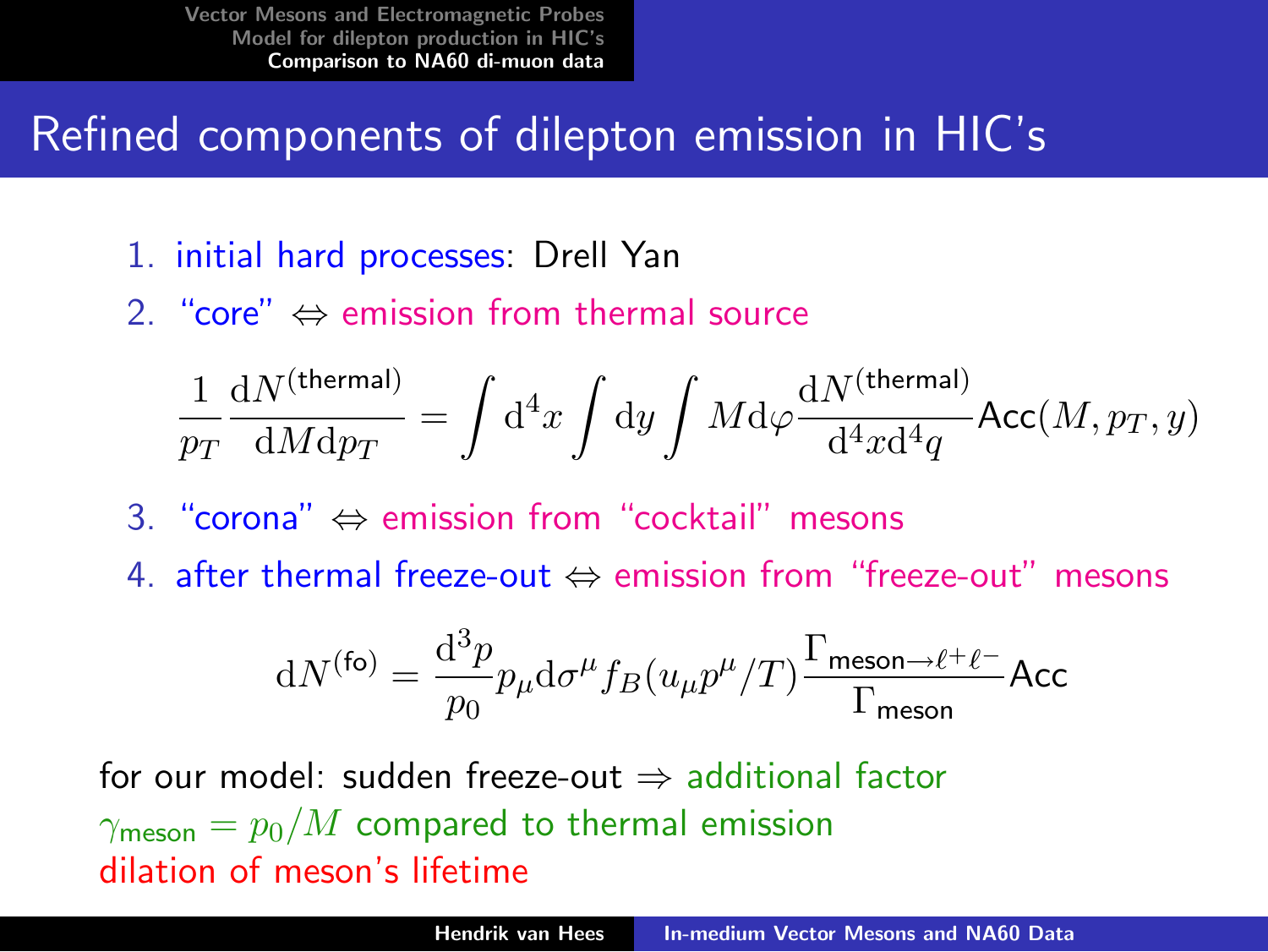# Refined components of dilepton emission in HIC's

- 1. initial hard processes: Drell Yan
- 2. "core"  $\Leftrightarrow$  emission from thermal source

$$
\frac{1}{p_T}\frac{\mathrm{d}N^{\rm (thermal)}}{\mathrm{d}M\mathrm{d}p_T} = \int \mathrm{d}^4x \int \mathrm{d}y \int M\mathrm{d}\varphi \frac{\mathrm{d}N^{\rm (thermal)}}{\mathrm{d}^4x\mathrm{d}^4q} \mathrm{Acc}(M,p_T,y)
$$

- 3. "corona" ⇔ emission from "cocktail" mesons
- 4. after thermal freeze-out ⇔ emission from "freeze-out" mesons

$$
\mathrm{d}N^{(\text{fo})}=\frac{\mathrm{d}^3p}{p_0}p_{\mu}\mathrm{d}\sigma^{\mu}f_B(u_{\mu}p^{\mu}/T)\frac{\Gamma_{\text{meson}\rightarrow\ell^+\ell^-}}{\Gamma_{\text{meson}}}\mathsf{Acc}
$$

for our model: sudden freeze-out  $\Rightarrow$  additional factor  $\gamma_{\text{meson}} = p_0/M$  compared to thermal emission dilation of meson's lifetime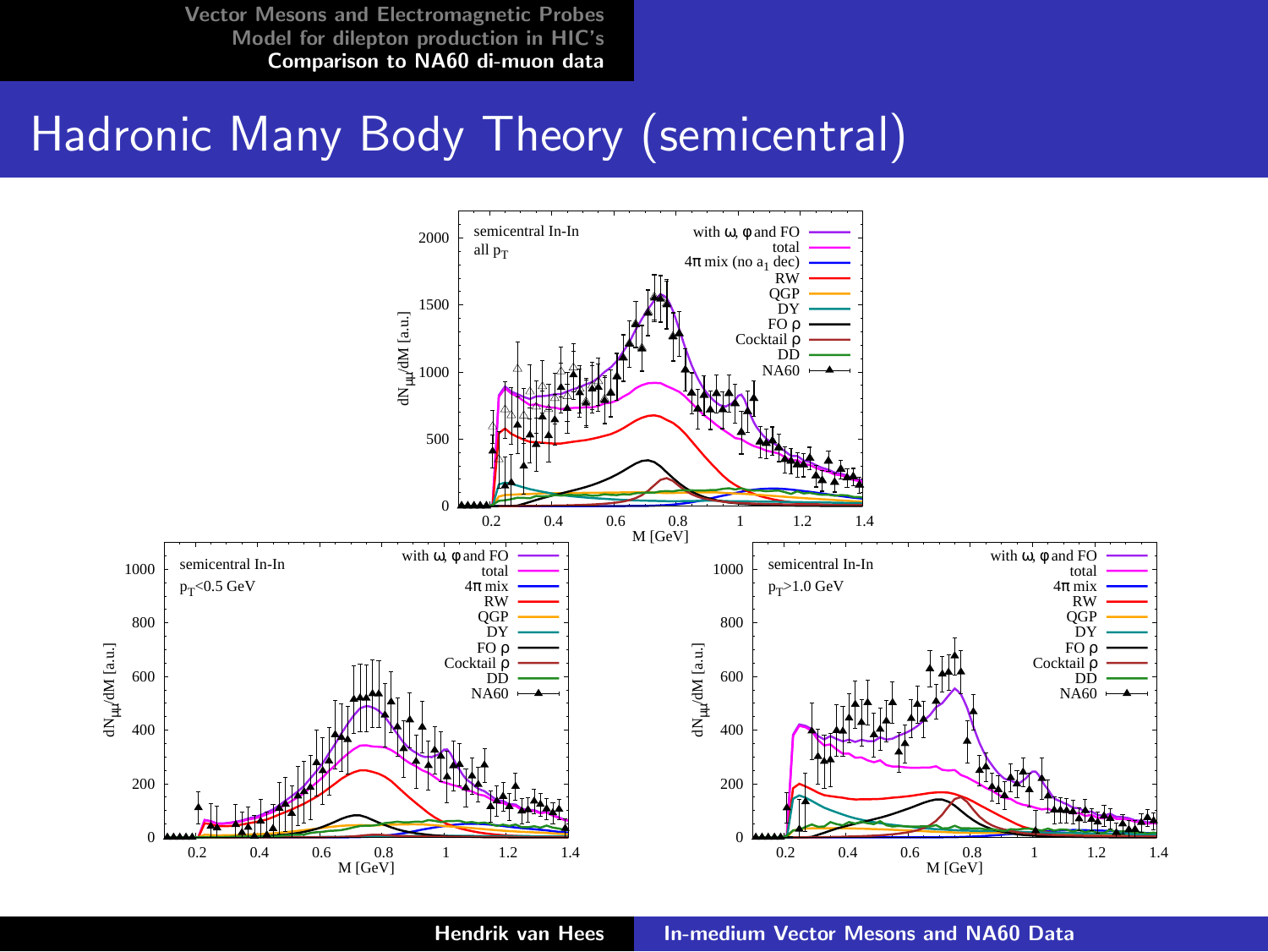#### Hadronic Many Body Theory (semicentral)



Hendrik van Hees [In-medium Vector Mesons and NA60 Data](#page-0-0)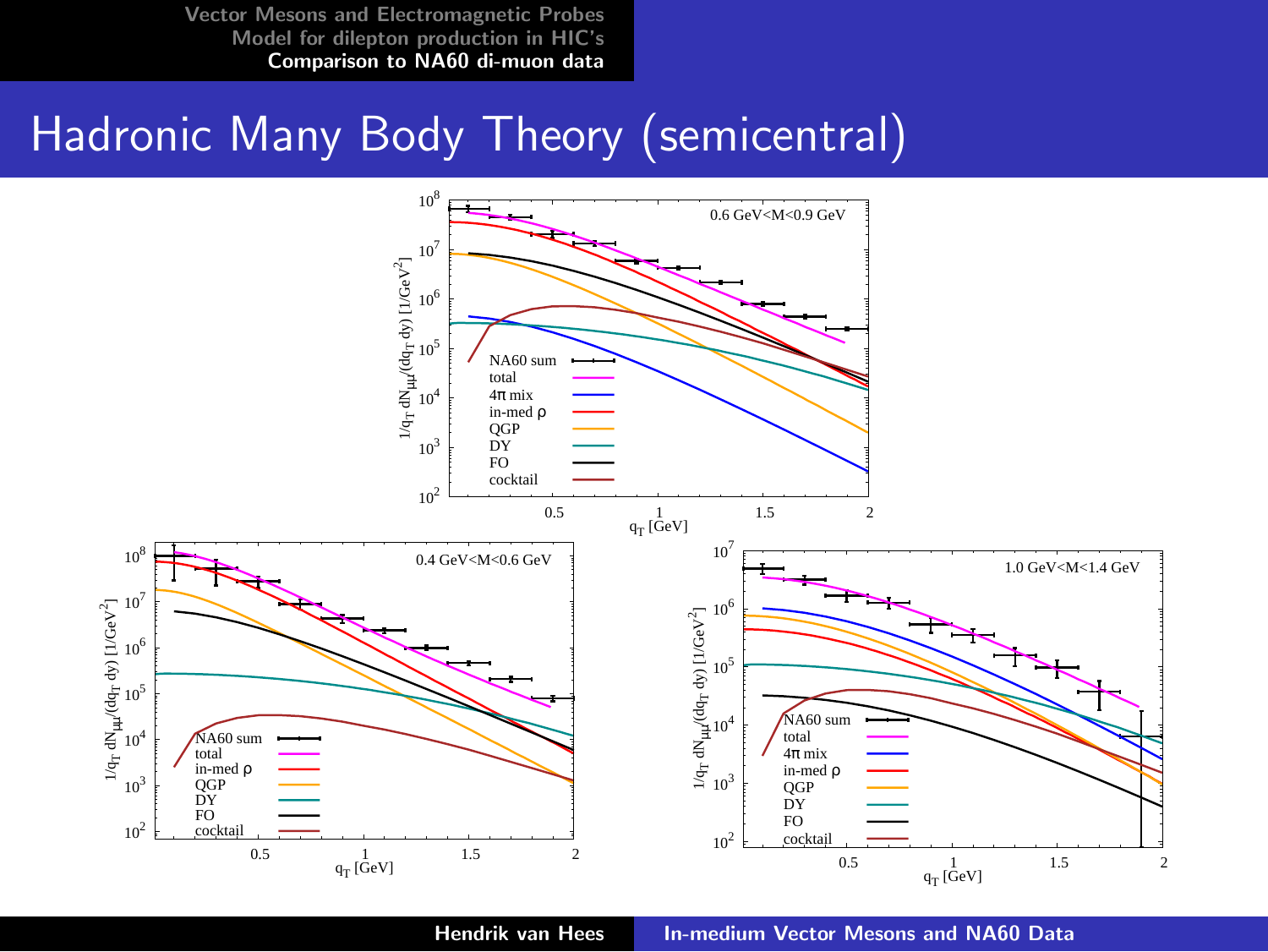# Hadronic Many Body Theory (semicentral)



Hendrik van Hees [In-medium Vector Mesons and NA60 Data](#page-0-0)